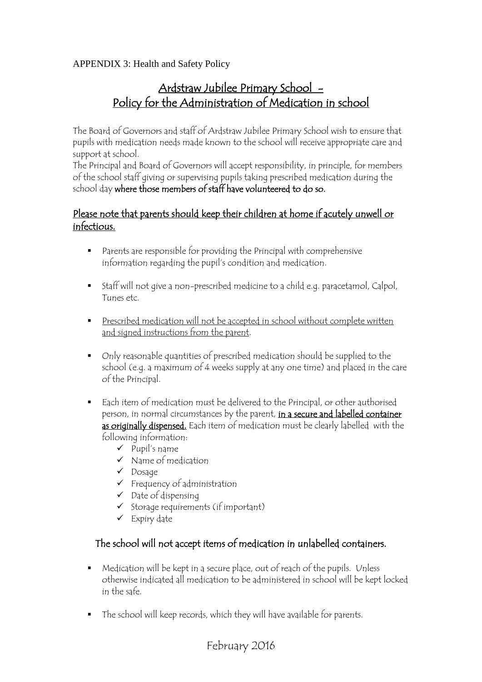APPENDIX 3: Health and Safety Policy

## Ardstraw Jubilee Primary School - Policy for the Administration of Medication in school

The Board of Governors and staff of Ardstraw Jubilee Primary School wish to ensure that pupils with medication needs made known to the school will receive appropriate care and support at school.

The Principal and Board of Governors will accept responsibility, in principle, for members of the school staff giving or supervising pupils taking prescribed medication during the school day where those members of staff have volunteered to do so.

## Please note that parents should keep their children at home if acutely unwell or infectious.

- Parents are responsible for providing the Principal with comprehensive information regarding the pupil's condition and medication.
- Staff will not give a non-prescribed medicine to a child e.g. paracetamol, Calpol, Tunes etc.
- Prescribed medication will not be accepted in school without complete written and signed instructions from the parent.
- Only reasonable quantities of prescribed medication should be supplied to the school (e.g. a maximum of 4 weeks supply at any one time) and placed in the care of the Principal.
- Each item of medication must be delivered to the Principal, or other authorised person, in normal circumstances by the parent, in a secure and labelled container as originally dispensed. Each item of medication must be clearly labelled with the following information:
	- $\checkmark$  Pupil's name
	- $\checkmark$  Name of medication
	- $\checkmark$  Dosage
	- $\checkmark$  Frequency of administration
	- $\checkmark$  Date of dispensing
	- $\checkmark$  Storage requirements (if important)
	- $\checkmark$  Expiry date

## The school will not accept items of medication in unlabelled containers.

- Medication will be kept in a secure place, out of reach of the pupils. Unless otherwise indicated all medication to be administered in school will be kept locked in the safe.
- The school will keep records, which they will have available for parents.